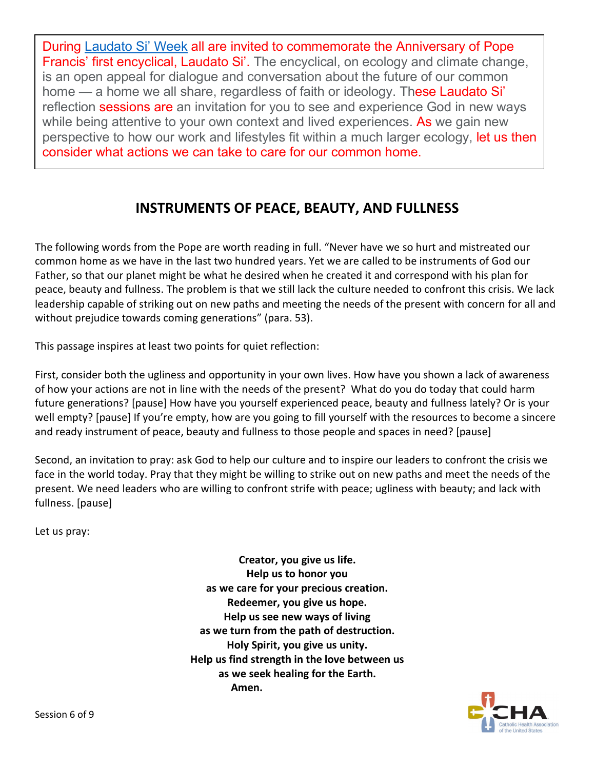During [Laudato Si' Week](https://laudatosiweek.org/what-is-laudato-si-week/) all are invited to commemorate the Anniversary of Pope Francis' first encyclical, Laudato Si'. The encyclical, on ecology and climate change, is an open appeal for dialogue and conversation about the future of our common home — a home we all share, regardless of faith or ideology. These Laudato Si' reflection sessions are an invitation for you to see and experience God in new ways while being attentive to your own context and lived experiences. As we gain new perspective to how our work and lifestyles fit within a much larger ecology, let us then consider what actions we can take to care for our common home.

## **INSTRUMENTS OF PEACE, BEAUTY, AND FULLNESS**

The following words from the Pope are worth reading in full. "Never have we so hurt and mistreated our common home as we have in the last two hundred years. Yet we are called to be instruments of God our Father, so that our planet might be what he desired when he created it and correspond with his plan for peace, beauty and fullness. The problem is that we still lack the culture needed to confront this crisis. We lack leadership capable of striking out on new paths and meeting the needs of the present with concern for all and without prejudice towards coming generations" (para. 53).

This passage inspires at least two points for quiet reflection:

First, consider both the ugliness and opportunity in your own lives. How have you shown a lack of awareness of how your actions are not in line with the needs of the present? What do you do today that could harm future generations? [pause] How have you yourself experienced peace, beauty and fullness lately? Or is your well empty? [pause] If you're empty, how are you going to fill yourself with the resources to become a sincere and ready instrument of peace, beauty and fullness to those people and spaces in need? [pause]

Second, an invitation to pray: ask God to help our culture and to inspire our leaders to confront the crisis we face in the world today. Pray that they might be willing to strike out on new paths and meet the needs of the present. We need leaders who are willing to confront strife with peace; ugliness with beauty; and lack with fullness. [pause]

Let us pray:

**Creator, you give us life. Help us to honor you as we care for your precious creation. Redeemer, you give us hope. Help us see new ways of living as we turn from the path of destruction. Holy Spirit, you give us unity. Help us find strength in the love between us as we seek healing for the Earth. Amen.**